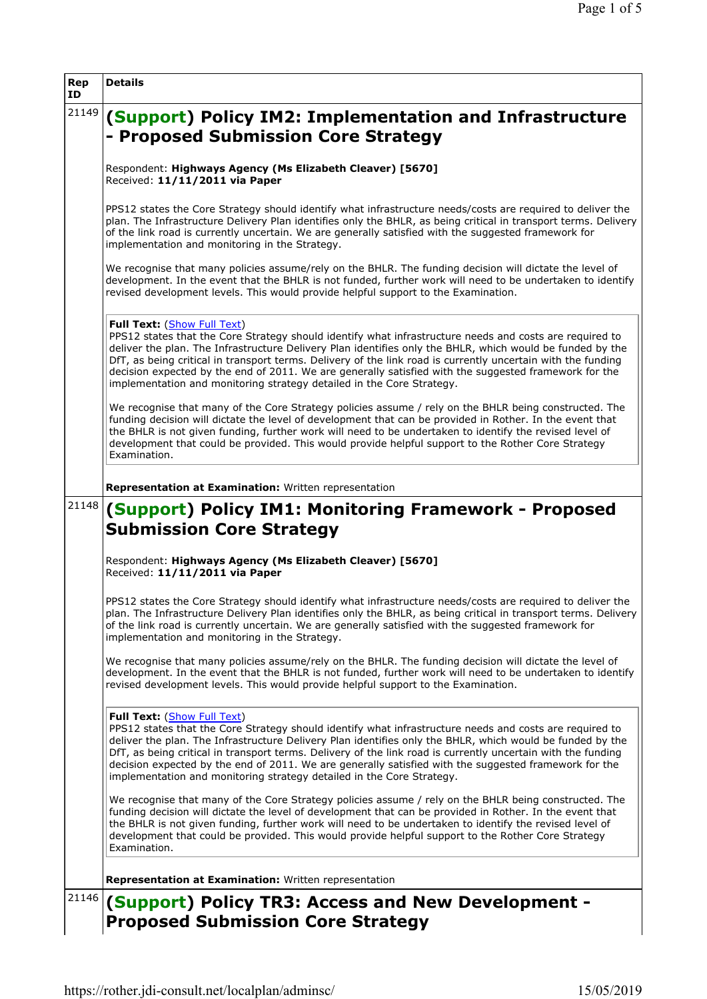| Rep<br>ID | <b>Details</b>                                                                                                                                                                                                                                                                                                                                                                                                                                                                                                                                        |
|-----------|-------------------------------------------------------------------------------------------------------------------------------------------------------------------------------------------------------------------------------------------------------------------------------------------------------------------------------------------------------------------------------------------------------------------------------------------------------------------------------------------------------------------------------------------------------|
| 21149     | (Support) Policy IM2: Implementation and Infrastructure<br>- Proposed Submission Core Strategy                                                                                                                                                                                                                                                                                                                                                                                                                                                        |
|           | Respondent: Highways Agency (Ms Elizabeth Cleaver) [5670]<br>Received: 11/11/2011 via Paper                                                                                                                                                                                                                                                                                                                                                                                                                                                           |
|           | PPS12 states the Core Strategy should identify what infrastructure needs/costs are required to deliver the<br>plan. The Infrastructure Delivery Plan identifies only the BHLR, as being critical in transport terms. Delivery<br>of the link road is currently uncertain. We are generally satisfied with the suggested framework for<br>implementation and monitoring in the Strategy.                                                                                                                                                               |
|           | We recognise that many policies assume/rely on the BHLR. The funding decision will dictate the level of<br>development. In the event that the BHLR is not funded, further work will need to be undertaken to identify<br>revised development levels. This would provide helpful support to the Examination.                                                                                                                                                                                                                                           |
|           | Full Text: (Show Full Text)<br>PPS12 states that the Core Strategy should identify what infrastructure needs and costs are required to<br>deliver the plan. The Infrastructure Delivery Plan identifies only the BHLR, which would be funded by the<br>DfT, as being critical in transport terms. Delivery of the link road is currently uncertain with the funding<br>decision expected by the end of 2011. We are generally satisfied with the suggested framework for the<br>implementation and monitoring strategy detailed in the Core Strategy. |
|           | We recognise that many of the Core Strategy policies assume / rely on the BHLR being constructed. The<br>funding decision will dictate the level of development that can be provided in Rother. In the event that<br>the BHLR is not given funding, further work will need to be undertaken to identify the revised level of<br>development that could be provided. This would provide helpful support to the Rother Core Strategy<br>Examination.                                                                                                    |
|           | Representation at Examination: Written representation                                                                                                                                                                                                                                                                                                                                                                                                                                                                                                 |
| 21148     | (Support) Policy IM1: Monitoring Framework - Proposed<br><b>Submission Core Strategy</b>                                                                                                                                                                                                                                                                                                                                                                                                                                                              |
|           | Respondent: Highways Agency (Ms Elizabeth Cleaver) [5670]<br>Received: 11/11/2011 via Paper                                                                                                                                                                                                                                                                                                                                                                                                                                                           |
|           | PPS12 states the Core Strategy should identify what infrastructure needs/costs are required to deliver the<br>plan. The Infrastructure Delivery Plan identifies only the BHLR, as being critical in transport terms. Delivery<br>of the link road is currently uncertain. We are generally satisfied with the suggested framework for<br>implementation and monitoring in the Strategy.                                                                                                                                                               |
|           | We recognise that many policies assume/rely on the BHLR. The funding decision will dictate the level of<br>development. In the event that the BHLR is not funded, further work will need to be undertaken to identify<br>revised development levels. This would provide helpful support to the Examination.                                                                                                                                                                                                                                           |
|           | Full Text: (Show Full Text)<br>PPS12 states that the Core Strategy should identify what infrastructure needs and costs are required to<br>deliver the plan. The Infrastructure Delivery Plan identifies only the BHLR, which would be funded by the<br>DfT, as being critical in transport terms. Delivery of the link road is currently uncertain with the funding<br>decision expected by the end of 2011. We are generally satisfied with the suggested framework for the<br>implementation and monitoring strategy detailed in the Core Strategy. |
|           | We recognise that many of the Core Strategy policies assume / rely on the BHLR being constructed. The<br>funding decision will dictate the level of development that can be provided in Rother. In the event that<br>the BHLR is not given funding, further work will need to be undertaken to identify the revised level of<br>development that could be provided. This would provide helpful support to the Rother Core Strategy<br>Examination.                                                                                                    |
|           | Representation at Examination: Written representation                                                                                                                                                                                                                                                                                                                                                                                                                                                                                                 |
| 21146     | (Support) Policy TR3: Access and New Development -                                                                                                                                                                                                                                                                                                                                                                                                                                                                                                    |
|           | <b>Proposed Submission Core Strategy</b>                                                                                                                                                                                                                                                                                                                                                                                                                                                                                                              |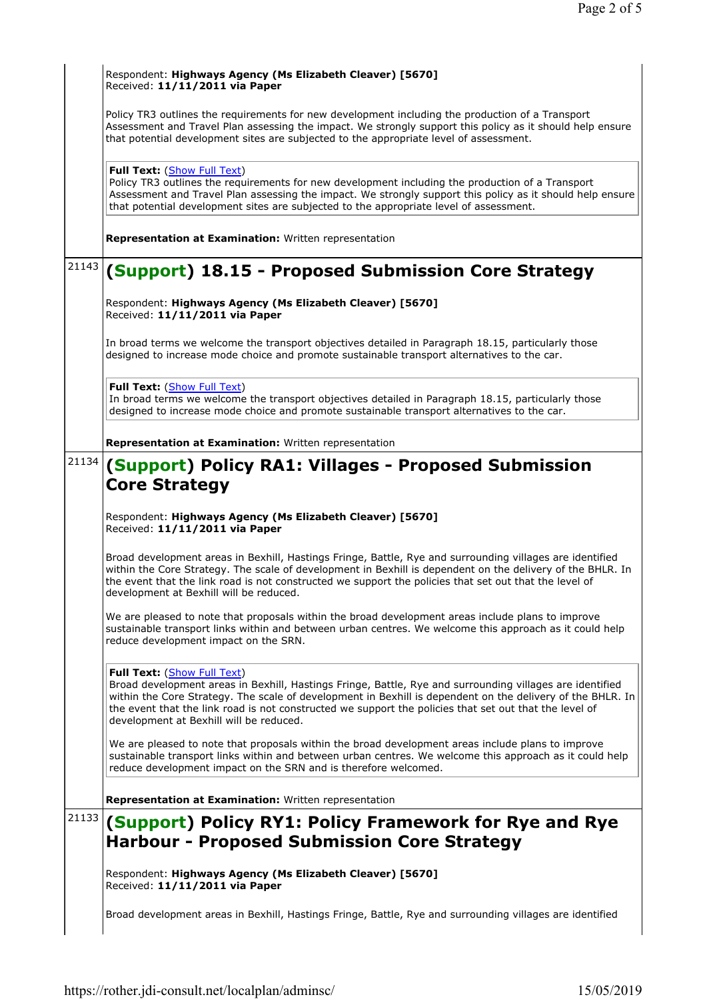|       | Respondent: Highways Agency (Ms Elizabeth Cleaver) [5670]<br>Received: 11/11/2011 via Paper                                                                                                                                                                                                                                                                                                                |
|-------|------------------------------------------------------------------------------------------------------------------------------------------------------------------------------------------------------------------------------------------------------------------------------------------------------------------------------------------------------------------------------------------------------------|
|       | Policy TR3 outlines the requirements for new development including the production of a Transport<br>Assessment and Travel Plan assessing the impact. We strongly support this policy as it should help ensure<br>that potential development sites are subjected to the appropriate level of assessment.                                                                                                    |
|       | Full Text: (Show Full Text)<br>Policy TR3 outlines the requirements for new development including the production of a Transport<br>Assessment and Travel Plan assessing the impact. We strongly support this policy as it should help ensure<br>that potential development sites are subjected to the appropriate level of assessment.                                                                     |
|       | Representation at Examination: Written representation                                                                                                                                                                                                                                                                                                                                                      |
| 21143 | (Support) 18.15 - Proposed Submission Core Strategy                                                                                                                                                                                                                                                                                                                                                        |
|       | Respondent: Highways Agency (Ms Elizabeth Cleaver) [5670]<br>Received: 11/11/2011 via Paper                                                                                                                                                                                                                                                                                                                |
|       | In broad terms we welcome the transport objectives detailed in Paragraph 18.15, particularly those<br>designed to increase mode choice and promote sustainable transport alternatives to the car.                                                                                                                                                                                                          |
|       | Full Text: (Show Full Text)<br>In broad terms we welcome the transport objectives detailed in Paragraph 18.15, particularly those<br>designed to increase mode choice and promote sustainable transport alternatives to the car.                                                                                                                                                                           |
|       | Representation at Examination: Written representation                                                                                                                                                                                                                                                                                                                                                      |
| 21134 | (Support) Policy RA1: Villages - Proposed Submission<br><b>Core Strategy</b>                                                                                                                                                                                                                                                                                                                               |
|       |                                                                                                                                                                                                                                                                                                                                                                                                            |
|       | Respondent: Highways Agency (Ms Elizabeth Cleaver) [5670]<br>Received: 11/11/2011 via Paper                                                                                                                                                                                                                                                                                                                |
|       | Broad development areas in Bexhill, Hastings Fringe, Battle, Rye and surrounding villages are identified<br>within the Core Strategy. The scale of development in Bexhill is dependent on the delivery of the BHLR. In<br>the event that the link road is not constructed we support the policies that set out that the level of<br>development at Bexhill will be reduced.                                |
|       | We are pleased to note that proposals within the broad development areas include plans to improve<br>sustainable transport links within and between urban centres. We welcome this approach as it could help<br>reduce development impact on the SRN.                                                                                                                                                      |
|       | Full Text: (Show Full Text)<br>Broad development areas in Bexhill, Hastings Fringe, Battle, Rye and surrounding villages are identified<br>within the Core Strategy. The scale of development in Bexhill is dependent on the delivery of the BHLR. In<br>the event that the link road is not constructed we support the policies that set out that the level of<br>development at Bexhill will be reduced. |
|       | We are pleased to note that proposals within the broad development areas include plans to improve<br>sustainable transport links within and between urban centres. We welcome this approach as it could help                                                                                                                                                                                               |
|       | reduce development impact on the SRN and is therefore welcomed.                                                                                                                                                                                                                                                                                                                                            |
|       | Representation at Examination: Written representation                                                                                                                                                                                                                                                                                                                                                      |
| 21133 | (Support) Policy RY1: Policy Framework for Rye and Rye                                                                                                                                                                                                                                                                                                                                                     |
|       | <b>Harbour - Proposed Submission Core Strategy</b>                                                                                                                                                                                                                                                                                                                                                         |
|       | Respondent: Highways Agency (Ms Elizabeth Cleaver) [5670]<br>Received: 11/11/2011 via Paper                                                                                                                                                                                                                                                                                                                |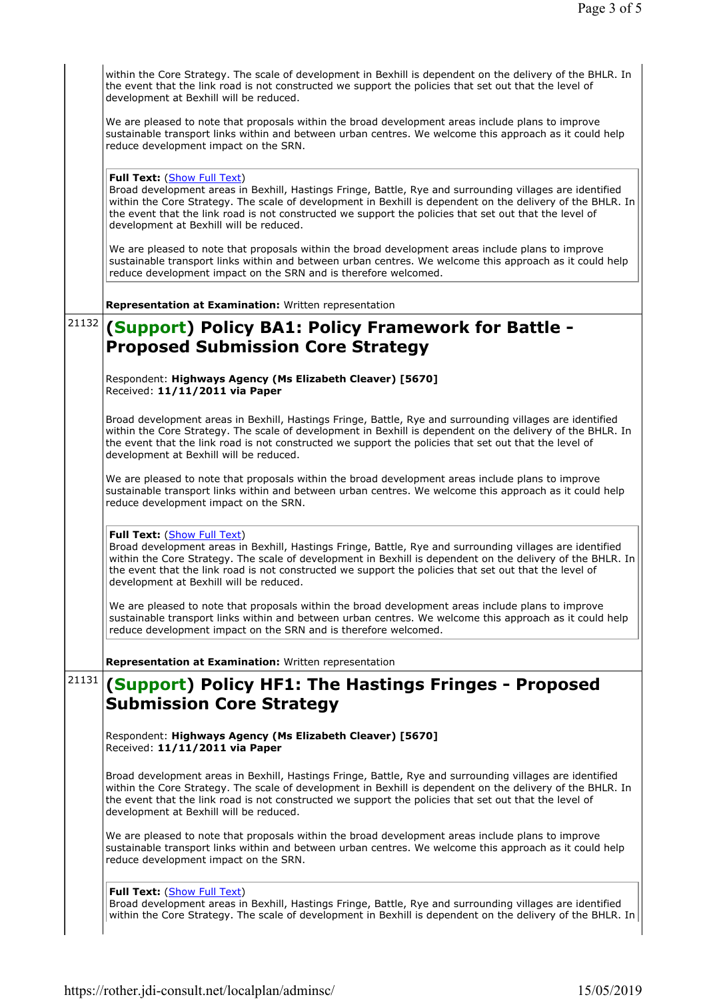|       | within the Core Strategy. The scale of development in Bexhill is dependent on the delivery of the BHLR. In<br>the event that the link road is not constructed we support the policies that set out that the level of<br>development at Bexhill will be reduced.                                                                                                                                            |
|-------|------------------------------------------------------------------------------------------------------------------------------------------------------------------------------------------------------------------------------------------------------------------------------------------------------------------------------------------------------------------------------------------------------------|
|       | We are pleased to note that proposals within the broad development areas include plans to improve<br>sustainable transport links within and between urban centres. We welcome this approach as it could help<br>reduce development impact on the SRN.                                                                                                                                                      |
|       | Full Text: (Show Full Text)<br>Broad development areas in Bexhill, Hastings Fringe, Battle, Rye and surrounding villages are identified<br>within the Core Strategy. The scale of development in Bexhill is dependent on the delivery of the BHLR. In<br>the event that the link road is not constructed we support the policies that set out that the level of<br>development at Bexhill will be reduced. |
|       | We are pleased to note that proposals within the broad development areas include plans to improve<br>sustainable transport links within and between urban centres. We welcome this approach as it could help<br>reduce development impact on the SRN and is therefore welcomed.                                                                                                                            |
|       | Representation at Examination: Written representation                                                                                                                                                                                                                                                                                                                                                      |
| 21132 | (Support) Policy BA1: Policy Framework for Battle -<br><b>Proposed Submission Core Strategy</b>                                                                                                                                                                                                                                                                                                            |
|       | Respondent: Highways Agency (Ms Elizabeth Cleaver) [5670]<br>Received: 11/11/2011 via Paper                                                                                                                                                                                                                                                                                                                |
|       | Broad development areas in Bexhill, Hastings Fringe, Battle, Rye and surrounding villages are identified<br>within the Core Strategy. The scale of development in Bexhill is dependent on the delivery of the BHLR. In<br>the event that the link road is not constructed we support the policies that set out that the level of<br>development at Bexhill will be reduced.                                |
|       | We are pleased to note that proposals within the broad development areas include plans to improve<br>sustainable transport links within and between urban centres. We welcome this approach as it could help<br>reduce development impact on the SRN.                                                                                                                                                      |
|       | Full Text: (Show Full Text)<br>Broad development areas in Bexhill, Hastings Fringe, Battle, Rye and surrounding villages are identified<br>within the Core Strategy. The scale of development in Bexhill is dependent on the delivery of the BHLR. In<br>the event that the link road is not constructed we support the policies that set out that the level of<br>development at Bexhill will be reduced. |
|       | We are pleased to note that proposals within the broad development areas include plans to improve<br>sustainable transport links within and between urban centres. We welcome this approach as it could help<br>reduce development impact on the SRN and is therefore welcomed.                                                                                                                            |
|       | Representation at Examination: Written representation                                                                                                                                                                                                                                                                                                                                                      |
| 21131 | (Support) Policy HF1: The Hastings Fringes - Proposed<br><b>Submission Core Strategy</b>                                                                                                                                                                                                                                                                                                                   |
|       | Respondent: Highways Agency (Ms Elizabeth Cleaver) [5670]<br>Received: 11/11/2011 via Paper                                                                                                                                                                                                                                                                                                                |
|       | Broad development areas in Bexhill, Hastings Fringe, Battle, Rye and surrounding villages are identified<br>within the Core Strategy. The scale of development in Bexhill is dependent on the delivery of the BHLR. In<br>the event that the link road is not constructed we support the policies that set out that the level of<br>development at Bexhill will be reduced.                                |
|       | We are pleased to note that proposals within the broad development areas include plans to improve<br>sustainable transport links within and between urban centres. We welcome this approach as it could help<br>reduce development impact on the SRN.                                                                                                                                                      |
|       | Full Text: (Show Full Text)<br>Broad development areas in Bexhill, Hastings Fringe, Battle, Rye and surrounding villages are identified<br>within the Core Strategy. The scale of development in Bexhill is dependent on the delivery of the BHLR. In                                                                                                                                                      |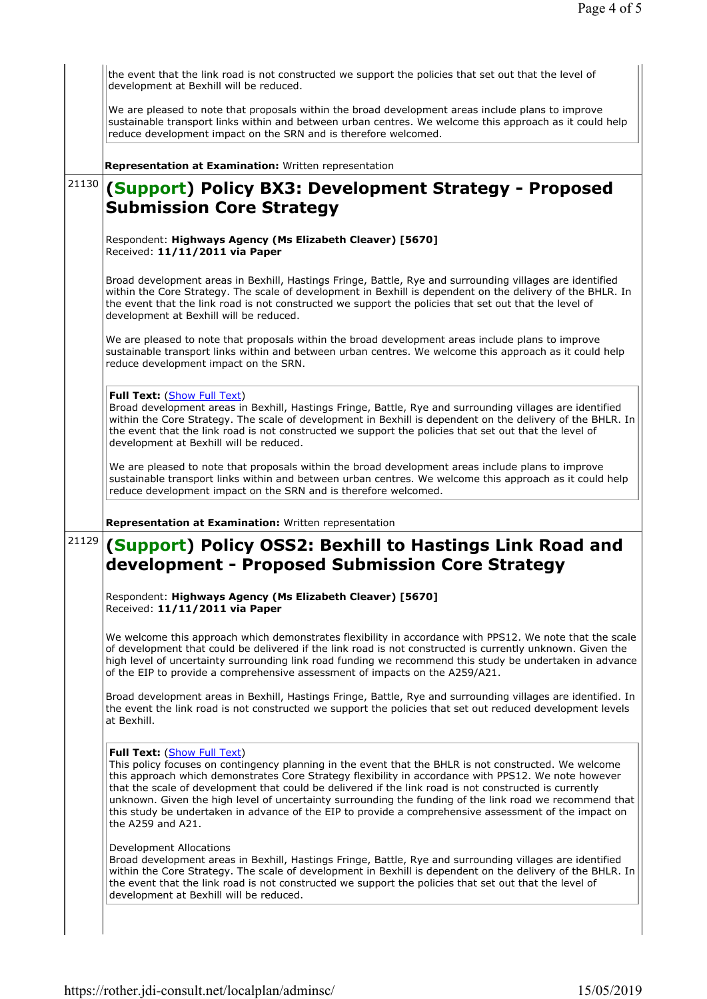|       | the event that the link road is not constructed we support the policies that set out that the level of<br>development at Bexhill will be reduced.                                                                                                                                                                                                                                                                                                                                                                                                                                               |
|-------|-------------------------------------------------------------------------------------------------------------------------------------------------------------------------------------------------------------------------------------------------------------------------------------------------------------------------------------------------------------------------------------------------------------------------------------------------------------------------------------------------------------------------------------------------------------------------------------------------|
|       | We are pleased to note that proposals within the broad development areas include plans to improve<br>sustainable transport links within and between urban centres. We welcome this approach as it could help<br>reduce development impact on the SRN and is therefore welcomed.                                                                                                                                                                                                                                                                                                                 |
|       | Representation at Examination: Written representation                                                                                                                                                                                                                                                                                                                                                                                                                                                                                                                                           |
| 21130 | (Support) Policy BX3: Development Strategy - Proposed<br><b>Submission Core Strategy</b>                                                                                                                                                                                                                                                                                                                                                                                                                                                                                                        |
|       | Respondent: Highways Agency (Ms Elizabeth Cleaver) [5670]<br>Received: 11/11/2011 via Paper                                                                                                                                                                                                                                                                                                                                                                                                                                                                                                     |
|       | Broad development areas in Bexhill, Hastings Fringe, Battle, Rye and surrounding villages are identified<br>within the Core Strategy. The scale of development in Bexhill is dependent on the delivery of the BHLR. In<br>the event that the link road is not constructed we support the policies that set out that the level of<br>development at Bexhill will be reduced.                                                                                                                                                                                                                     |
|       | We are pleased to note that proposals within the broad development areas include plans to improve<br>sustainable transport links within and between urban centres. We welcome this approach as it could help<br>reduce development impact on the SRN.                                                                                                                                                                                                                                                                                                                                           |
|       | Full Text: (Show Full Text)<br>Broad development areas in Bexhill, Hastings Fringe, Battle, Rye and surrounding villages are identified<br>within the Core Strategy. The scale of development in Bexhill is dependent on the delivery of the BHLR. In<br>the event that the link road is not constructed we support the policies that set out that the level of<br>development at Bexhill will be reduced.                                                                                                                                                                                      |
|       | We are pleased to note that proposals within the broad development areas include plans to improve<br>sustainable transport links within and between urban centres. We welcome this approach as it could help<br>reduce development impact on the SRN and is therefore welcomed.                                                                                                                                                                                                                                                                                                                 |
|       |                                                                                                                                                                                                                                                                                                                                                                                                                                                                                                                                                                                                 |
|       | Representation at Examination: Written representation                                                                                                                                                                                                                                                                                                                                                                                                                                                                                                                                           |
| 21129 | (Support) Policy OSS2: Bexhill to Hastings Link Road and<br>development - Proposed Submission Core Strategy                                                                                                                                                                                                                                                                                                                                                                                                                                                                                     |
|       | Respondent: Highways Agency (Ms Elizabeth Cleaver) [5670]<br>Received: 11/11/2011 via Paper                                                                                                                                                                                                                                                                                                                                                                                                                                                                                                     |
|       | We welcome this approach which demonstrates flexibility in accordance with PPS12. We note that the scale<br>of development that could be delivered if the link road is not constructed is currently unknown. Given the<br>high level of uncertainty surrounding link road funding we recommend this study be undertaken in advance<br>of the EIP to provide a comprehensive assessment of impacts on the A259/A21.                                                                                                                                                                              |
|       | Broad development areas in Bexhill, Hastings Fringe, Battle, Rye and surrounding villages are identified. In<br>the event the link road is not constructed we support the policies that set out reduced development levels<br>at Bexhill.                                                                                                                                                                                                                                                                                                                                                       |
|       | Full Text: (Show Full Text)<br>This policy focuses on contingency planning in the event that the BHLR is not constructed. We welcome<br>this approach which demonstrates Core Strategy flexibility in accordance with PPS12. We note however<br>that the scale of development that could be delivered if the link road is not constructed is currently<br>unknown. Given the high level of uncertainty surrounding the funding of the link road we recommend that<br>this study be undertaken in advance of the EIP to provide a comprehensive assessment of the impact on<br>the A259 and A21. |
|       | <b>Development Allocations</b><br>Broad development areas in Bexhill, Hastings Fringe, Battle, Rye and surrounding villages are identified<br>within the Core Strategy. The scale of development in Bexhill is dependent on the delivery of the BHLR. In<br>the event that the link road is not constructed we support the policies that set out that the level of<br>development at Bexhill will be reduced.                                                                                                                                                                                   |